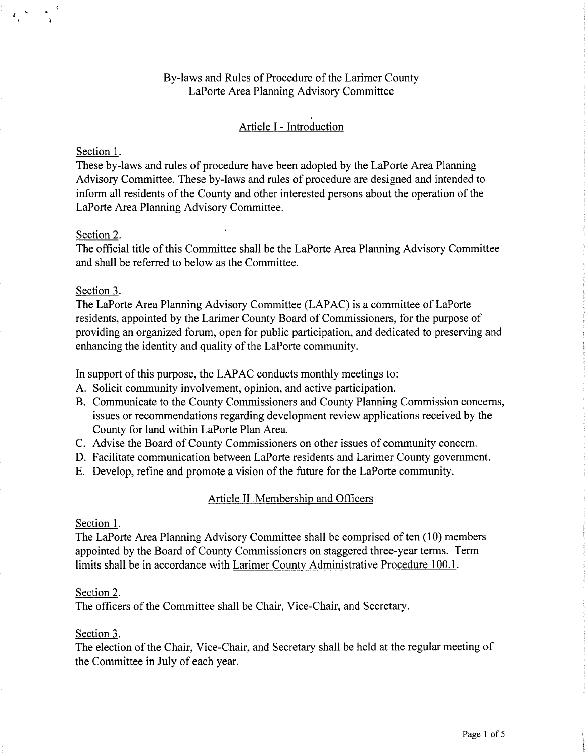# By-laws and Rules of Procedure of the Larimer County LaPorte Area Planning Advisory Committee

# Article I - Introduction

# Section 1.

*I* ..\_

These by-laws and rules of procedure have been adopted by the LaPorte Area Planning Advisory Committee. These by-laws and rules of procedure are designed and intended to inform all residents of the County and other interested persons about the operation of the LaPorte Area Planning Advisory Committee.

### Section 2.

The official title ofthis Committee shall be the LaPorte Area Planning Advisory Committee and shall be referred to below as the Committee.

#### Section 3.

The LaPorte Area Planning Advisory Committee (LAPAC) is a committee of LaPorte residents, appointed by the Larimer County Board of Commissioners, for the purpose of providing an organized forum, open for public participation, and dedicated to preserving and enhancing the identity and quality of the LaPorte community.

In support of this purpose, the LAPAC conducts monthly meetings to:

- A. Solicit community involvement, opinion, and active participation.
- B. Communicate to the County Commissioners and County Planning Commission concerns, issues or recommendations regarding development review applications received by the County for land within LaPorte Plan Area.
- C. Advise the Board of County Commissioners on other issues of community concern.
- D. Facilitate communication between LaPorte residents and Larimer County government.
- E. Develop, refine and promote a vision of the future for the LaPorte community.

### Article II .Membership and Officers

#### Section 1.

The LaPorte Area Planning Advisory Committee shall be comprised of ten (10) members appointed by the Board of County Commissioners on staggered three-year terms. Term limits shall be in accordance with Larimer County Administrative Procedure 100.1.

#### Section 2.

The officers of the Committee shall be Chair, Vice-Chair, and Secretary.

#### Section 3.

The election of the Chair, Vice-Chair, and Secretary shall be held at the regular meeting of the Committee in July of each year.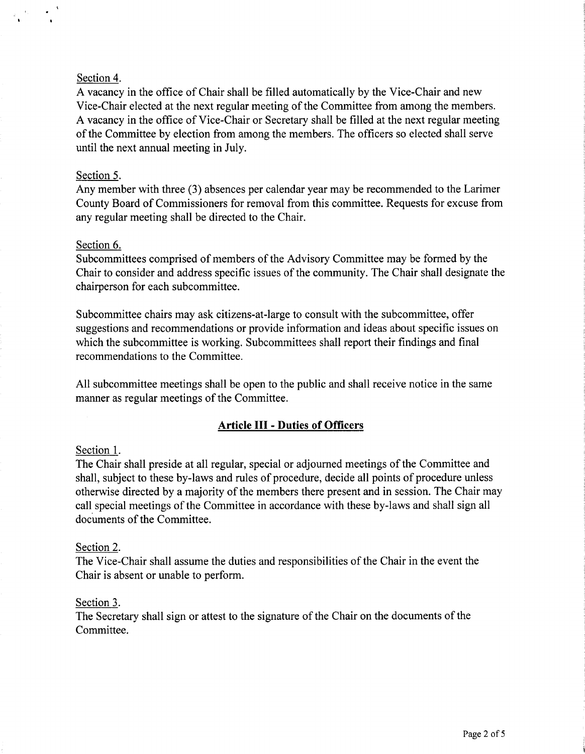# Section 4.

A vacancy in the office of Chair shall be filled automatically by the Vice-Chair and new Vice-Chair elected at the next regular meeting of the Committee from among the members. A vacancy in the office of Vice-Chair or Secretary shall be filled at the next regular meeting of the Committee by election from among the members. The officers so elected shall serve until the next annual meeting in July.

# Section 5.

Any member with three (3) absences per calendar year may be recommended to the Larimer County Board of Commissioners for removal from this committee. Requests for excuse from any regular meeting shall be directed to the Chair.

### Section 6.

Subcommittees comprised of members of the Advisory Committee may be formed by the Chair to consider and address specific issues of the community. The Chair shall designate the chairperson for each subcommittee.

Subcommittee chairs may ask citizens-at-large to consult with the subcommittee, offer suggestions and recommendations or provide information and ideas about specific issues on which the subcommittee is working. Subcommittees shall report their findings and final recommendations to the Committee.

All subcommittee meetings shall be open to the public and shall receive notice in the same manner as regular meetings of the Committee.

# **Article** III - **Duties of Officers**

### Section I.

The Chair shall preside at all regular, special or adjourned meetings of the Committee and shall, subject to these by-laws and rules of procedure, decide all points of procedure unless otherwise directed by a majority of the members there present and in session. The Chair may call special meetings of the Committee in accordance with these by-laws and shall sign all documents of the Committee.

### Section 2.

The Vice-Chair shall assume the duties and responsibilities of the Chair in the event the Chair is absent or unable to perform.

### Section 3.

The Secretary shall sign or attest to the signature of the Chair on the documents of the Committee.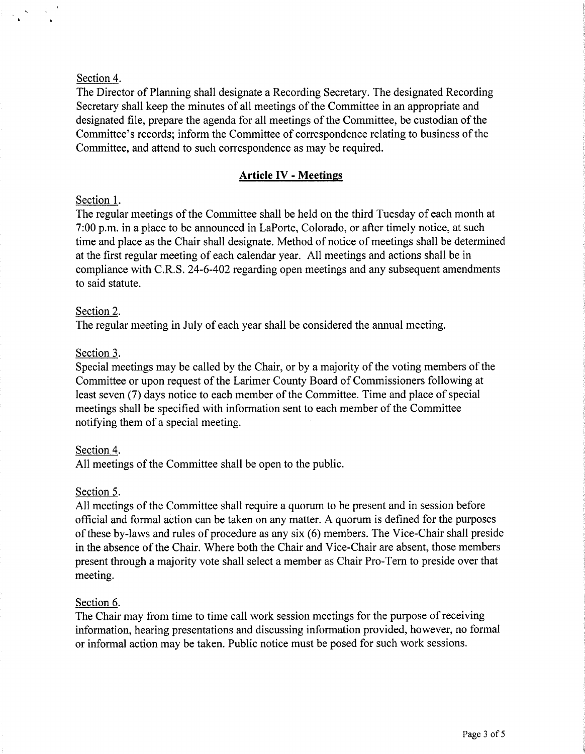# Section 4.

The Director of Planning shall designate a Recording Secretary. The designated Recording Secretary shall keep the minutes of all meetings of the Committee in an appropriate and designated file, prepare the agenda for all meetings of the Committee, be custodian of the Committee's records; inform the Committee of correspondence relating to business of the Committee, and attend to such correspondence as may be required.

# **Article IV** - **Meetings**

# Section 1.

The regular meetings of the Committee shall be held on the third Tuesday of each month at 7:00 p.m. in a place to be announced in LaPorte, Colorado, or after timely notice, at such time and place as the Chair shall designate. Method of notice of meetings shall be determined at the first regular meeting of each calendar year. All meetings and actions shall be in compliance with C.R.S. 24-6-402 regarding open meetings and any subsequent amendments to said statute.

# Section 2.

The regular meeting in July of each year shall be considered the annual meeting.

# Section 3.

Special meetings may be called by the Chair, or by a majority of the voting members of the Committee or upon request of the Larimer County Board of Commissioners following at least seven (7) days notice to each member of the Committee. Time and place of special meetings shall be specified with information sent to each member of the Committee notifying them of a special meeting.

# Section 4.

All meetings of the Committee shall be open to the public.

# Section 5.

All meetings of the Committee shall require a quorum to be present and in session before official and formal action can be taken on any matter. A quorum is defined for the purposes of these by-laws and rules of procedure as any six (6) members. The Vice-Chair shall preside in the absence of the Chair. Where both the Chair and Vice-Chair are absent, those members present through a majority vote shall select a member as Chair Pro-Tern to preside over that meeting.

### Section 6.

The Chair may from time to time call work session meetings for the purpose of receiving information, hearing presentations and discussing information provided, however, no formal or informal action may be taken. Public notice must be posed for such work sessions.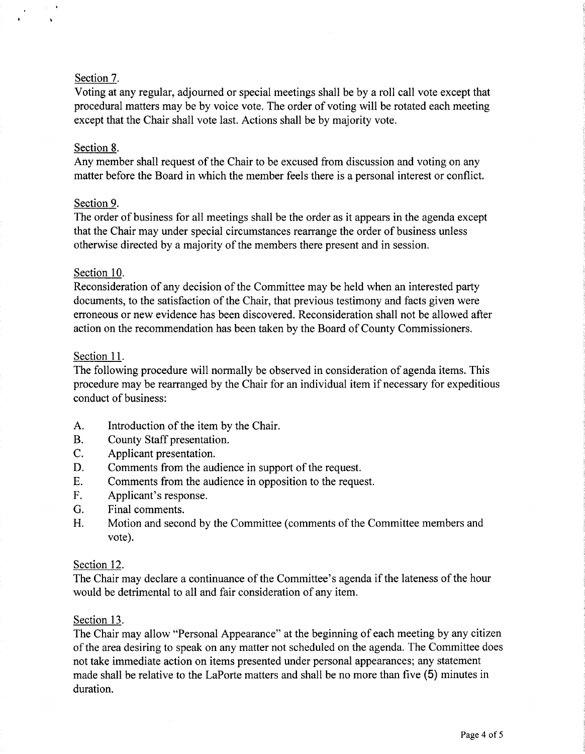# Section 7.

Voting at any regular, adjourned or special meetings shall be by a roll call vote except that procedural matters may be by voice vote. The order of voting will be rotated each meeting except that the Chair shall vote last. Actions shall be by majority vote.

### Section 8.

Any member shall request of the Chair to be excused from discussion and voting on any matter before the Board in which the member feels there is a personal interest or conflict.

### Section 9.

The order of business for all meetings shall be the order as it appears in the agenda except that the Chair may under special circumstances rearrange the order of business unless otherwise directed by a majority of the members there present and in session.

#### Section 10.

Reconsideration of any decision of the Committee may be held when an interested party documents, to the satisfaction of the Chair, that previous testimony and facts given were erroneous or new evidence has been discovered. Reconsideration shall not be allowed after action on the recommendation has been taken by the Board of County Commissioners.

#### Section 11.

The following procedure will normally be observed in consideration of agenda items. This procedure may be rearranged by the Chair for an individual item if necessary for expeditious conduct of business:

- A. Introduction of the item by the Chair.
- B. County Staff presentation.
- C. Applicant presentation.
- D. Comments from the audience in support of the request.
- E. Comments from the audience in opposition to the request.
- F. Applicant's response.
- G. Final comments.
- H. Motion and second by the Committee ( comments of the Committee members and vote).

#### Section 12.

The Chair may declare a continuance of the Committee's agenda if the lateness of the hour would be detrimental to all and fair consideration of any item.

#### Section 13.

The Chair may allow "Personal Appearance" at the beginning of each meeting by any citizen of the area desiring to speak on any matter not scheduled on the agenda. The Committee does not take immediate action on items presented under personal appearances; any statement made shall be relative to the LaPorte matters and shall be no more than five (5) minutes in duration.